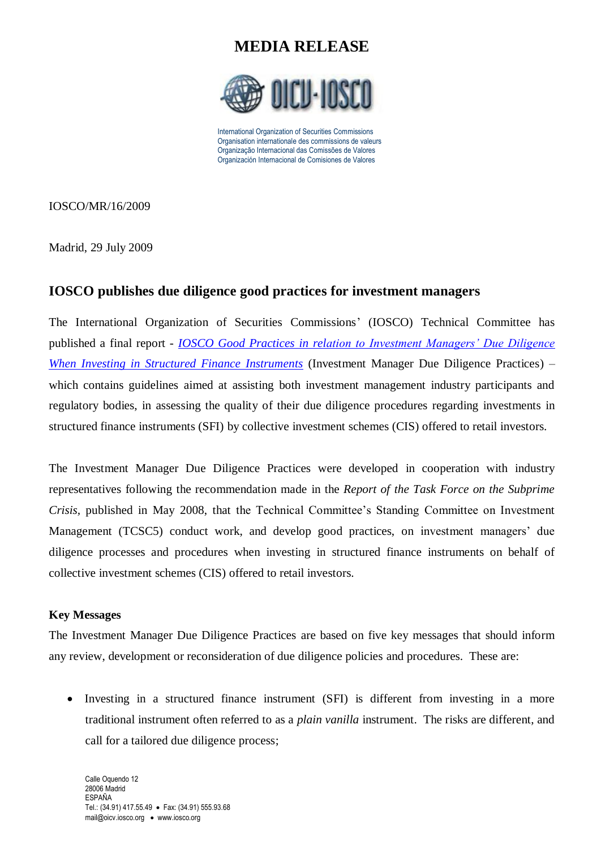

International Organization of Securities Commissions Organisation internationale des commissions de valeurs Organização Internacional das Comissões de Valores Organización Internacional de Comisiones de Valores

IOSCO/MR/16/2009

Madrid, 29 July 2009

### **IOSCO publishes due diligence good practices for investment managers**

The International Organization of Securities Commissions' (IOSCO) Technical Committee has published a final report - *[IOSCO Good Practices in relation to Investment Managers' Due Diligence](http://www.iosco.org/library/pubdocs/pdf/IOSCOPD300.pdf)  [When Investing in Structured Finance Instruments](http://www.iosco.org/library/pubdocs/pdf/IOSCOPD300.pdf)* (Investment Manager Due Diligence Practices) – which contains guidelines aimed at assisting both investment management industry participants and regulatory bodies, in assessing the quality of their due diligence procedures regarding investments in structured finance instruments (SFI) by collective investment schemes (CIS) offered to retail investors.

The Investment Manager Due Diligence Practices were developed in cooperation with industry representatives following the recommendation made in the *Report of the Task Force on the Subprime Crisis,* published in May 2008, that the Technical Committee's Standing Committee on Investment Management (TCSC5) conduct work, and develop good practices, on investment managers' due diligence processes and procedures when investing in structured finance instruments on behalf of collective investment schemes (CIS) offered to retail investors.

#### **Key Messages**

The Investment Manager Due Diligence Practices are based on five key messages that should inform any review, development or reconsideration of due diligence policies and procedures. These are:

• Investing in a structured finance instrument (SFI) is different from investing in a more traditional instrument often referred to as a *plain vanilla* instrument. The risks are different, and call for a tailored due diligence process;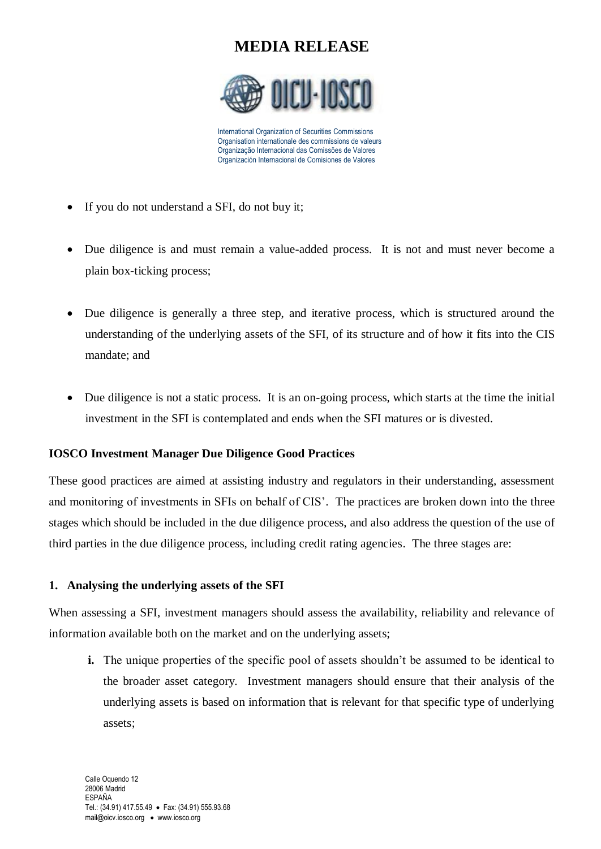

International Organization of Securities Commissions Organisation internationale des commissions de valeurs Organização Internacional das Comissões de Valores Organización Internacional de Comisiones de Valores

- If you do not understand a SFI, do not buy it;
- Due diligence is and must remain a value-added process. It is not and must never become a plain box-ticking process;
- Due diligence is generally a three step, and iterative process, which is structured around the understanding of the underlying assets of the SFI, of its structure and of how it fits into the CIS mandate; and
- Due diligence is not a static process. It is an on-going process, which starts at the time the initial investment in the SFI is contemplated and ends when the SFI matures or is divested.

### **IOSCO Investment Manager Due Diligence Good Practices**

These good practices are aimed at assisting industry and regulators in their understanding, assessment and monitoring of investments in SFIs on behalf of CIS'. The practices are broken down into the three stages which should be included in the due diligence process, and also address the question of the use of third parties in the due diligence process, including credit rating agencies. The three stages are:

### **1. Analysing the underlying assets of the SFI**

When assessing a SFI, investment managers should assess the availability, reliability and relevance of information available both on the market and on the underlying assets;

**i.** The unique properties of the specific pool of assets shouldn't be assumed to be identical to the broader asset category. Investment managers should ensure that their analysis of the underlying assets is based on information that is relevant for that specific type of underlying assets;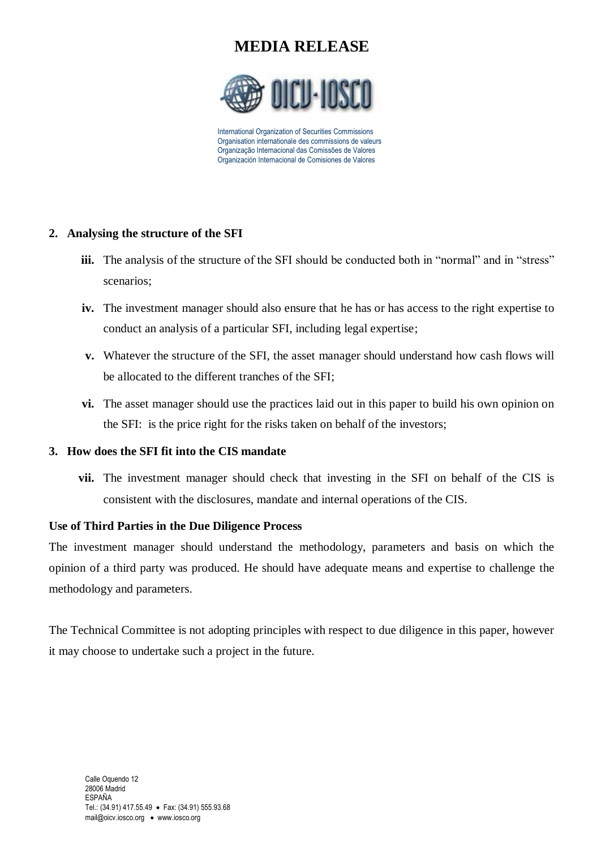

International Organization of Securities Commissions Organisation internationale des commissions de valeurs Organização Internacional das Comissões de Valores Organización Internacional de Comisiones de Valores

### **2. Analysing the structure of the SFI**

- **iii.** The analysis of the structure of the SFI should be conducted both in "normal" and in "stress" scenarios;
- **iv.** The investment manager should also ensure that he has or has access to the right expertise to conduct an analysis of a particular SFI, including legal expertise;
- **v.** Whatever the structure of the SFI, the asset manager should understand how cash flows will be allocated to the different tranches of the SFI;
- **vi.** The asset manager should use the practices laid out in this paper to build his own opinion on the SFI: is the price right for the risks taken on behalf of the investors;

### **3. How does the SFI fit into the CIS mandate**

**vii.** The investment manager should check that investing in the SFI on behalf of the CIS is consistent with the disclosures, mandate and internal operations of the CIS.

#### **Use of Third Parties in the Due Diligence Process**

The investment manager should understand the methodology, parameters and basis on which the opinion of a third party was produced. He should have adequate means and expertise to challenge the methodology and parameters.

The Technical Committee is not adopting principles with respect to due diligence in this paper, however it may choose to undertake such a project in the future.